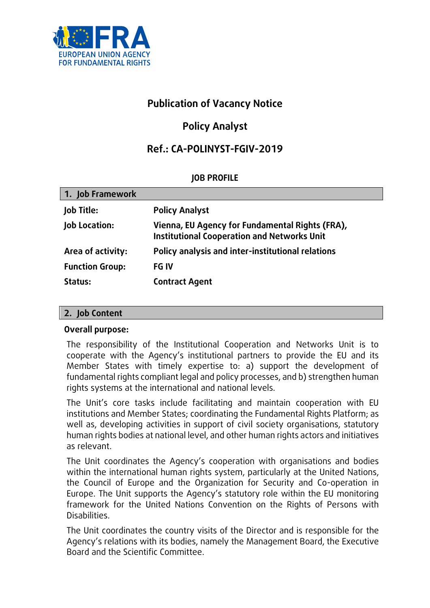

## **Publication of Vacancy Notice**

# **Policy Analyst**

## **Ref.: CA-POLINYST-FGIV-2019**

### **JOB PROFILE**

| 1. Job Framework       |                                                                                                       |
|------------------------|-------------------------------------------------------------------------------------------------------|
| <b>Job Title:</b>      | <b>Policy Analyst</b>                                                                                 |
| Job Location:          | Vienna, EU Agency for Fundamental Rights (FRA),<br><b>Institutional Cooperation and Networks Unit</b> |
| Area of activity:      | Policy analysis and inter-institutional relations                                                     |
| <b>Function Group:</b> | <b>FG IV</b>                                                                                          |
| Status:                | <b>Contract Agent</b>                                                                                 |

#### **2. Job Content**

#### **Overall purpose:**

The responsibility of the Institutional Cooperation and Networks Unit is to cooperate with the Agency's institutional partners to provide the EU and its Member States with timely expertise to: a) support the development of fundamental rights compliant legal and policy processes, and b) strengthen human rights systems at the international and national levels.

The Unit's core tasks include facilitating and maintain cooperation with EU institutions and Member States; coordinating the Fundamental Rights Platform; as well as, developing activities in support of civil society organisations, statutory human rights bodies at national level, and other human rights actors and initiatives as relevant.

The Unit coordinates the Agency's cooperation with organisations and bodies within the international human rights system, particularly at the United Nations, the Council of Europe and the Organization for Security and Co-operation in Europe. The Unit supports the Agency's statutory role within the EU monitoring framework for the United Nations Convention on the Rights of Persons with Disabilities.

The Unit coordinates the country visits of the Director and is responsible for the Agency's relations with its bodies, namely the Management Board, the Executive Board and the Scientific Committee.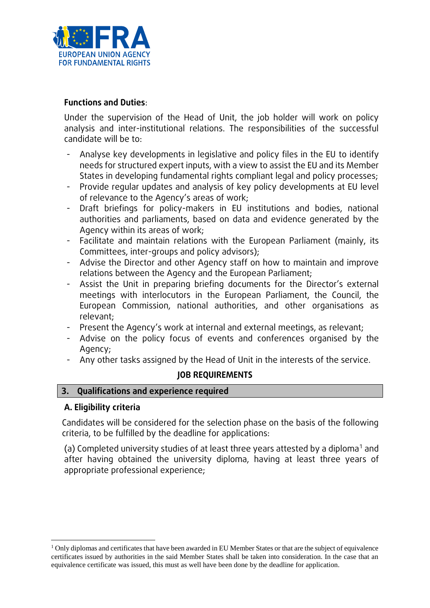

#### **Functions and Duties**:

Under the supervision of the Head of Unit, the job holder will work on policy analysis and inter-institutional relations. The responsibilities of the successful candidate will be to:

- Analyse key developments in legislative and policy files in the EU to identify needs for structured expert inputs, with a view to assist the EU and its Member States in developing fundamental rights compliant legal and policy processes;
- Provide regular updates and analysis of key policy developments at EU level of relevance to the Agency's areas of work;
- Draft briefings for policy-makers in EU institutions and bodies, national authorities and parliaments, based on data and evidence generated by the Agency within its areas of work;
- Facilitate and maintain relations with the European Parliament (mainly, its Committees, inter-groups and policy advisors);
- Advise the Director and other Agency staff on how to maintain and improve relations between the Agency and the European Parliament;
- Assist the Unit in preparing briefing documents for the Director's external meetings with interlocutors in the European Parliament, the Council, the European Commission, national authorities, and other organisations as relevant;
- Present the Agency's work at internal and external meetings, as relevant;
- Advise on the policy focus of events and conferences organised by the Agency;
- Any other tasks assigned by the Head of Unit in the interests of the service.

#### **JOB REQUIREMENTS**

**3. Qualifications and experience required**

#### **A. Eligibility criteria**

 $\overline{a}$ 

Candidates will be considered for the selection phase on the basis of the following criteria, to be fulfilled by the deadline for applications:

(a) Completed university studies of at least three years attested by a diploma<sup>1</sup> and after having obtained the university diploma, having at least three years of appropriate professional experience;

<sup>&</sup>lt;sup>1</sup> Only diplomas and certificates that have been awarded in EU Member States or that are the subject of equivalence certificates issued by authorities in the said Member States shall be taken into consideration. In the case that an equivalence certificate was issued, this must as well have been done by the deadline for application.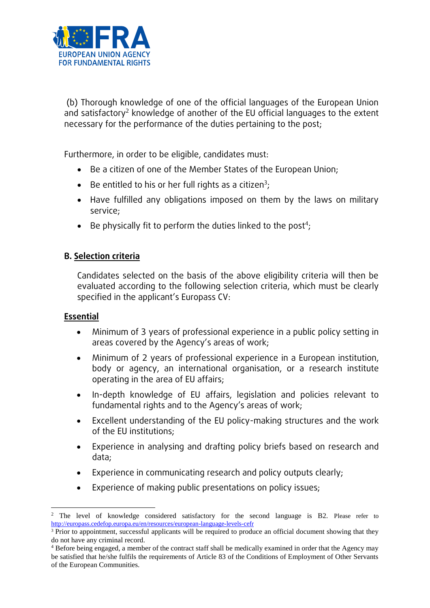

(b) Thorough knowledge of one of the official languages of the European Union and satisfactory<sup>2</sup> knowledge of another of the EU official languages to the extent necessary for the performance of the duties pertaining to the post;

Furthermore, in order to be eligible, candidates must:

- Be a citizen of one of the Member States of the European Union;
- Be entitled to his or her full rights as a citizen<sup>3</sup>;
- Have fulfilled any obligations imposed on them by the laws on military service;
- $\bullet$  Be physically fit to perform the duties linked to the post<sup>4</sup>;

### **B. Selection criteria**

Candidates selected on the basis of the above eligibility criteria will then be evaluated according to the following selection criteria, which must be clearly specified in the applicant's Europass CV:

#### **Essential**

- Minimum of 3 years of professional experience in a public policy setting in areas covered by the Agency's areas of work;
- Minimum of 2 years of professional experience in a European institution, body or agency, an international organisation, or a research institute operating in the area of EU affairs;
- In-depth knowledge of EU affairs, legislation and policies relevant to fundamental rights and to the Agency's areas of work;
- Excellent understanding of the EU policy-making structures and the work of the EU institutions;
- Experience in analysing and drafting policy briefs based on research and data;
- Experience in communicating research and policy outputs clearly;
- Experience of making public presentations on policy issues;

 $\overline{a}$ <sup>2</sup> The level of knowledge considered satisfactory for the second language is B2. Please refer to <http://europass.cedefop.europa.eu/en/resources/european-language-levels-cefr>

<sup>&</sup>lt;sup>3</sup> Prior to appointment, successful applicants will be required to produce an official document showing that they do not have any criminal record.

<sup>4</sup> Before being engaged, a member of the contract staff shall be medically examined in order that the Agency may be satisfied that he/she fulfils the requirements of Article 83 of the Conditions of Employment of Other Servants of the European Communities.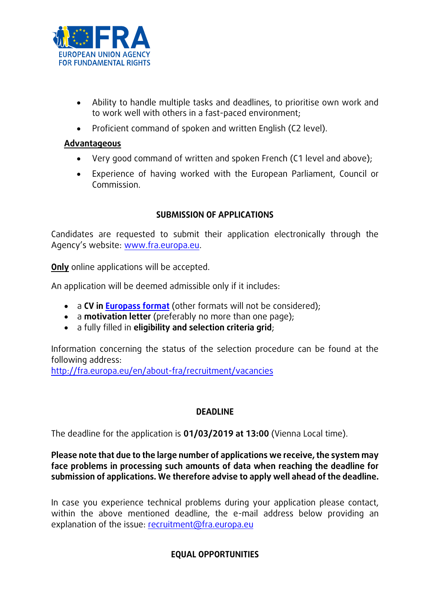

- Ability to handle multiple tasks and deadlines, to prioritise own work and to work well with others in a fast-paced environment;
- Proficient command of spoken and written English (C2 level).

#### **Advantageous**

- Very good command of written and spoken French (C1 level and above);
- Experience of having worked with the European Parliament, Council or Commission.

### **SUBMISSION OF APPLICATIONS**

Candidates are requested to submit their application electronically through the Agency's website: [www.fra.europa.eu.](http://www.fra.europa.eu/)

**Only** online applications will be accepted.

An application will be deemed admissible only if it includes:

- a **CV in [Europass format](http://europass.cedefop.europa.eu/documents/curriculum-vitae/templates-instructions)** (other formats will not be considered);
- a **motivation letter** (preferably no more than one page);
- a fully filled in **eligibility and selection criteria grid**;

Information concerning the status of the selection procedure can be found at the following address:

<http://fra.europa.eu/en/about-fra/recruitment/vacancies>

## **DEADLINE**

The deadline for the application is **01/03/2019 at 13:00** (Vienna Local time).

### **Please note that due to the large number of applications we receive, the system may face problems in processing such amounts of data when reaching the deadline for submission of applications. We therefore advise to apply well ahead of the deadline.**

In case you experience technical problems during your application please contact, within the above mentioned deadline, the e-mail address below providing an explanation of the issue: [recruitment@fra.europa.eu](mailto:recruitment@fra.europa.eu)

## **EQUAL OPPORTUNITIES**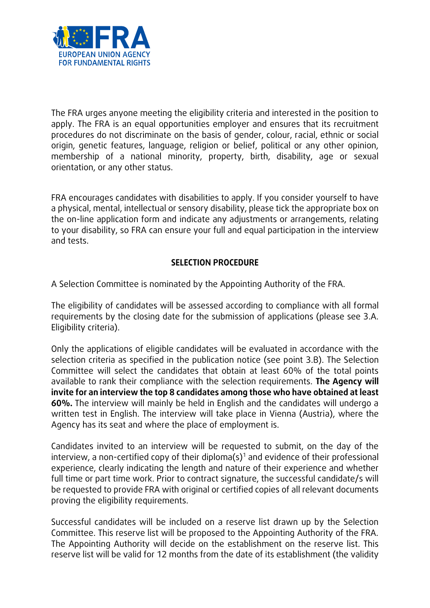

The FRA urges anyone meeting the eligibility criteria and interested in the position to apply. The FRA is an equal opportunities employer and ensures that its recruitment procedures do not discriminate on the basis of gender, colour, racial, ethnic or social origin, genetic features, language, religion or belief, political or any other opinion, membership of a national minority, property, birth, disability, age or sexual orientation, or any other status.

FRA encourages candidates with disabilities to apply. If you consider yourself to have a physical, mental, intellectual or sensory disability, please tick the appropriate box on the on-line application form and indicate any adjustments or arrangements, relating to your disability, so FRA can ensure your full and equal participation in the interview and tests.

### **SELECTION PROCEDURE**

A Selection Committee is nominated by the Appointing Authority of the FRA.

The eligibility of candidates will be assessed according to compliance with all formal requirements by the closing date for the submission of applications (please see 3.A. Eligibility criteria).

Only the applications of eligible candidates will be evaluated in accordance with the selection criteria as specified in the publication notice (see point 3.B). The Selection Committee will select the candidates that obtain at least 60% of the total points available to rank their compliance with the selection requirements. **The Agency will invite for an interview the top 8 candidates among those who have obtained at least 60%.** The interview will mainly be held in English and the candidates will undergo a written test in English. The interview will take place in Vienna (Austria), where the Agency has its seat and where the place of employment is.

Candidates invited to an interview will be requested to submit, on the day of the interview, a non-certified copy of their diploma(s)<sup>1</sup> and evidence of their professional experience, clearly indicating the length and nature of their experience and whether full time or part time work. Prior to contract signature, the successful candidate/s will be requested to provide FRA with original or certified copies of all relevant documents proving the eligibility requirements.

Successful candidates will be included on a reserve list drawn up by the Selection Committee. This reserve list will be proposed to the Appointing Authority of the FRA. The Appointing Authority will decide on the establishment on the reserve list. This reserve list will be valid for 12 months from the date of its establishment (the validity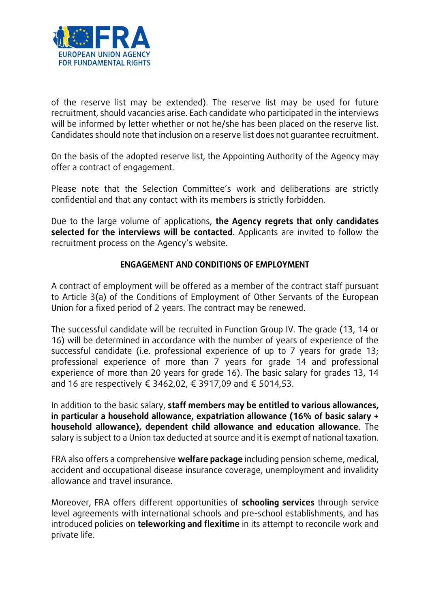

of the reserve list may be extended). The reserve list may be used for future recruitment, should vacancies arise. Each candidate who participated in the interviews will be informed by letter whether or not he/she has been placed on the reserve list. Candidates should note that inclusion on a reserve list does not guarantee recruitment.

On the basis of the adopted reserve list, the Appointing Authority of the Agency may offer a contract of engagement.

Please note that the Selection Committee's work and deliberations are strictly confidential and that any contact with its members is strictly forbidden.

Due to the large volume of applications, **the Agency regrets that only candidates selected for the interviews will be contacted**. Applicants are invited to follow the recruitment process on the Agency's website.

#### **ENGAGEMENT AND CONDITIONS OF EMPLOYMENT**

A contract of employment will be offered as a member of the contract staff pursuant to Article 3(a) of the Conditions of Employment of Other Servants of the European Union for a fixed period of 2 years. The contract may be renewed.

The successful candidate will be recruited in Function Group IV. The grade (13, 14 or 16) will be determined in accordance with the number of years of experience of the successful candidate (i.e. professional experience of up to 7 years for grade 13; professional experience of more than 7 years for grade 14 and professional experience of more than 20 years for grade 16). The basic salary for grades 13, 14 and 16 are respectively € 3462,02, € 3917,09 and € 5014,53.

In addition to the basic salary, **staff members may be entitled to various allowances, in particular a household allowance, expatriation allowance (16% of basic salary + household allowance), dependent child allowance and education allowance**. The salary is subject to a Union tax deducted at source and it is exempt of national taxation.

FRA also offers a comprehensive **welfare package** including pension scheme, medical, accident and occupational disease insurance coverage, unemployment and invalidity allowance and travel insurance.

Moreover, FRA offers different opportunities of **schooling services** through service level agreements with international schools and pre-school establishments, and has introduced policies on **teleworking and flexitime** in its attempt to reconcile work and private life.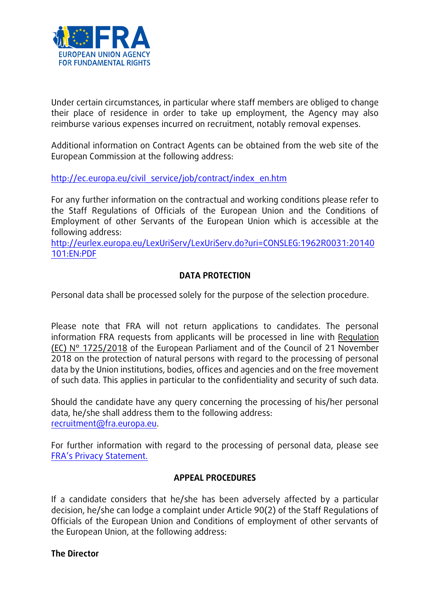

Under certain circumstances, in particular where staff members are obliged to change their place of residence in order to take up employment, the Agency may also reimburse various expenses incurred on recruitment, notably removal expenses.

Additional information on Contract Agents can be obtained from the web site of the European Commission at the following address:

[http://ec.europa.eu/civil\\_service/job/contract/index\\_en.htm](http://ec.europa.eu/civil_service/job/contract/index_en.htm)

For any further information on the contractual and working conditions please refer to the Staff Regulations of Officials of the European Union and the Conditions of Employment of other Servants of the European Union which is accessible at the following address:

[http://eurlex.europa.eu/LexUriServ/LexUriServ.do?uri=CONSLEG:1962R0031:20140](http://eurlex.europa.eu/LexUriServ/LexUriServ.do?uri=CONSLEG:1962R0031:20140101:EN:PDF) [101:EN:PDF](http://eurlex.europa.eu/LexUriServ/LexUriServ.do?uri=CONSLEG:1962R0031:20140101:EN:PDF)

## **DATA PROTECTION**

Personal data shall be processed solely for the purpose of the selection procedure.

Please note that FRA will not return applications to candidates. The personal information FRA requests from applicants will be processed in line with Regulation (EC) N° 1725/2018 of the European Parliament and of the Council of 21 November 2018 on the protection of natural persons with regard to the processing of personal data by the Union institutions, bodies, offices and agencies and on the free movement of such data. This applies in particular to the confidentiality and security of such data.

Should the candidate have any query concerning the processing of his/her personal data, he/she shall address them to the following address: [recruitment@fra.europa.eu.](mailto:recruitment@fra.europa.eu)

For further information with regard to the processing of personal data, please see [FRA's Privacy Statement.](http://fra.europa.eu/sites/default/files/fra_uploads/618-Privacy-statement.pdf)

## **APPEAL PROCEDURES**

If a candidate considers that he/she has been adversely affected by a particular decision, he/she can lodge a complaint under Article 90(2) of the Staff Regulations of Officials of the European Union and Conditions of employment of other servants of the European Union, at the following address:

#### **The Director**